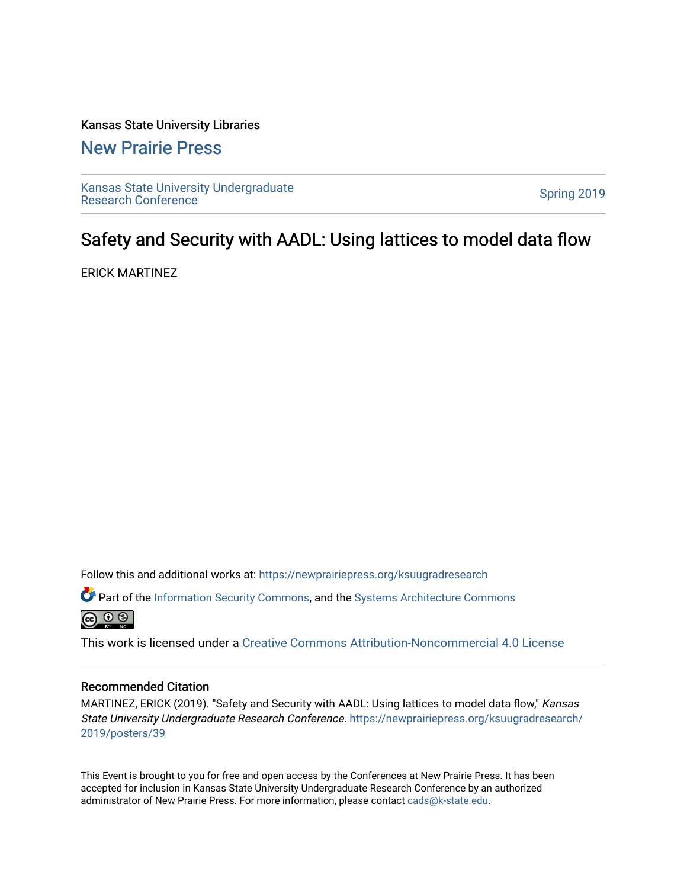### Kansas State University Libraries

### [New Prairie Press](https://newprairiepress.org/)

[Kansas State University Undergraduate](https://newprairiepress.org/ksuugradresearch)  Ransas State University Undergraduate<br>[Research Conference](https://newprairiepress.org/ksuugradresearch)

### Safety and Security with AADL: Using lattices to model data flow

ERICK MARTINEZ

Follow this and additional works at: [https://newprairiepress.org/ksuugradresearch](https://newprairiepress.org/ksuugradresearch?utm_source=newprairiepress.org%2Fksuugradresearch%2F2019%2Fposters%2F39&utm_medium=PDF&utm_campaign=PDFCoverPages) 

Part of the [Information Security Commons](http://network.bepress.com/hgg/discipline/1247?utm_source=newprairiepress.org%2Fksuugradresearch%2F2019%2Fposters%2F39&utm_medium=PDF&utm_campaign=PDFCoverPages), and the [Systems Architecture Commons](http://network.bepress.com/hgg/discipline/144?utm_source=newprairiepress.org%2Fksuugradresearch%2F2019%2Fposters%2F39&utm_medium=PDF&utm_campaign=PDFCoverPages) 



This work is licensed under a [Creative Commons Attribution-Noncommercial 4.0 License](https://creativecommons.org/licenses/by-nc/4.0/)

### Recommended Citation

MARTINEZ, ERICK (2019). "Safety and Security with AADL: Using lattices to model data flow," Kansas State University Undergraduate Research Conference. [https://newprairiepress.org/ksuugradresearch/](https://newprairiepress.org/ksuugradresearch/2019/posters/39) [2019/posters/39](https://newprairiepress.org/ksuugradresearch/2019/posters/39) 

This Event is brought to you for free and open access by the Conferences at New Prairie Press. It has been accepted for inclusion in Kansas State University Undergraduate Research Conference by an authorized administrator of New Prairie Press. For more information, please contact [cads@k-state.edu](mailto:cads@k-state.edu).